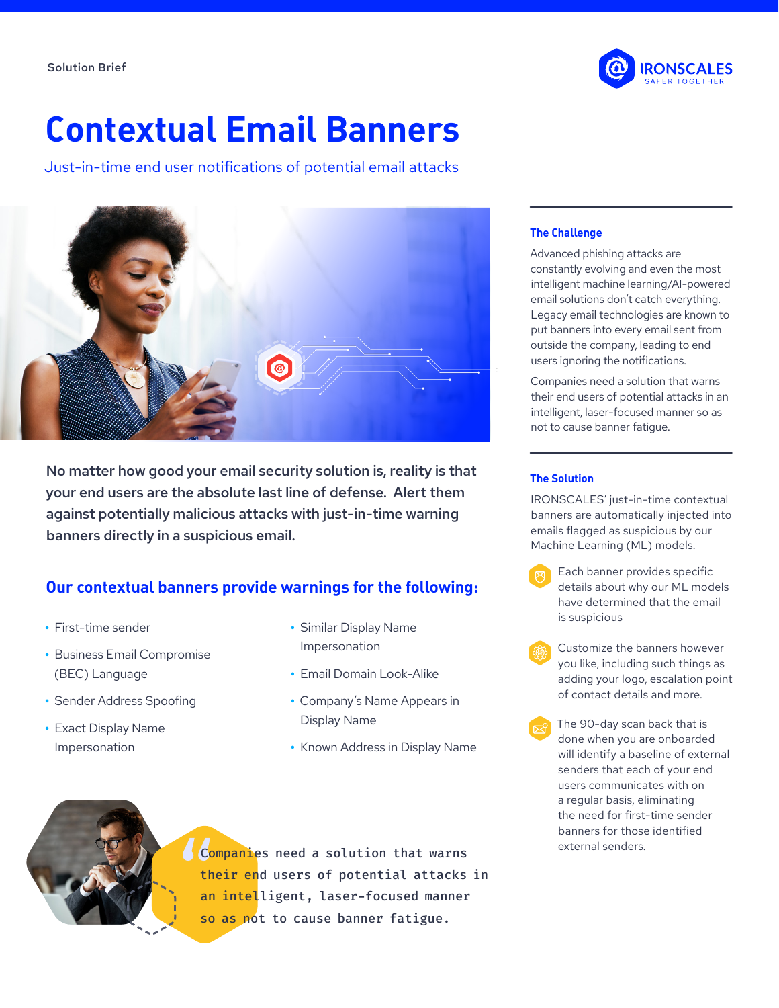

# **Contextual Email Banners**

Just-in-time end user notifications of potential email attacks



No matter how good your email security solution is, reality is that your end users are the absolute last line of defense. Alert them against potentially malicious attacks with just-in-time warning banners directly in a suspicious email.

# **Our contextual banners provide warnings for the following:**

- **•** First-time sender
- **•** Business Email Compromise (BEC) Language
- **•** Sender Address Spoofing
- **•** Exact Display Name Impersonation
- **•** Similar Display Name Impersonation
- **•** Email Domain Look-Alike
- **•** Company's Name Appears in Display Name
- **•** Known Address in Display Name



Companies need a solution that warns their end users of potential attacks in an intelligent, laser-focused manner so as not to cause banner fatigue.

#### **The Challenge**

Advanced phishing attacks are constantly evolving and even the most intelligent machine learning/AI-powered email solutions don't catch everything. Legacy email technologies are known to put banners into every email sent from outside the company, leading to end users ignoring the notifications.

Companies need a solution that warns their end users of potential attacks in an intelligent, laser-focused manner so as not to cause banner fatigue.

#### **The Solution**

IRONSCALES' just-in-time contextual banners are automatically injected into emails flagged as suspicious by our Machine Learning (ML) models.

- Each banner provides specific details about why our ML models have determined that the email is suspicious
- Customize the banners however you like, including such things as adding your logo, escalation point of contact details and more.
- The 90-day scan back that is done when you are onboarded will identify a baseline of external senders that each of your end users communicates with on a regular basis, eliminating the need for first-time sender banners for those identified external senders.